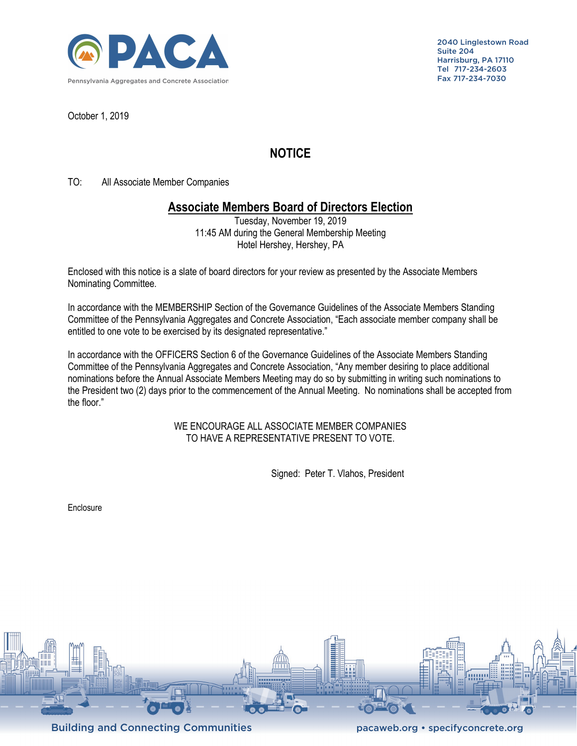

2040 Linglestown Road Suite 204 Harrisburg, PA 17110 Tel 717-234-2603 Fax 717-234-7030

October 1, 2019

## **NOTICE**

TO: All Associate Member Companies

## **Associate Members Board of Directors Election**

Tuesday, November 19, 2019 11:45 AM during the General Membership Meeting Hotel Hershey, Hershey, PA

Enclosed with this notice is a slate of board directors for your review as presented by the Associate Members Nominating Committee.

In accordance with the MEMBERSHIP Section of the Governance Guidelines of the Associate Members Standing Committee of the Pennsylvania Aggregates and Concrete Association, "Each associate member company shall be entitled to one vote to be exercised by its designated representative."

In accordance with the OFFICERS Section 6 of the Governance Guidelines of the Associate Members Standing Committee of the Pennsylvania Aggregates and Concrete Association, "Any member desiring to place additional nominations before the Annual Associate Members Meeting may do so by submitting in writing such nominations to the President two (2) days prior to the commencement of the Annual Meeting. No nominations shall be accepted from the floor."

> WE ENCOURAGE ALL ASSOCIATE MEMBER COMPANIES TO HAVE A REPRESENTATIVE PRESENT TO VOTE.

> > Signed: Peter T. Vlahos, President

Enclosure